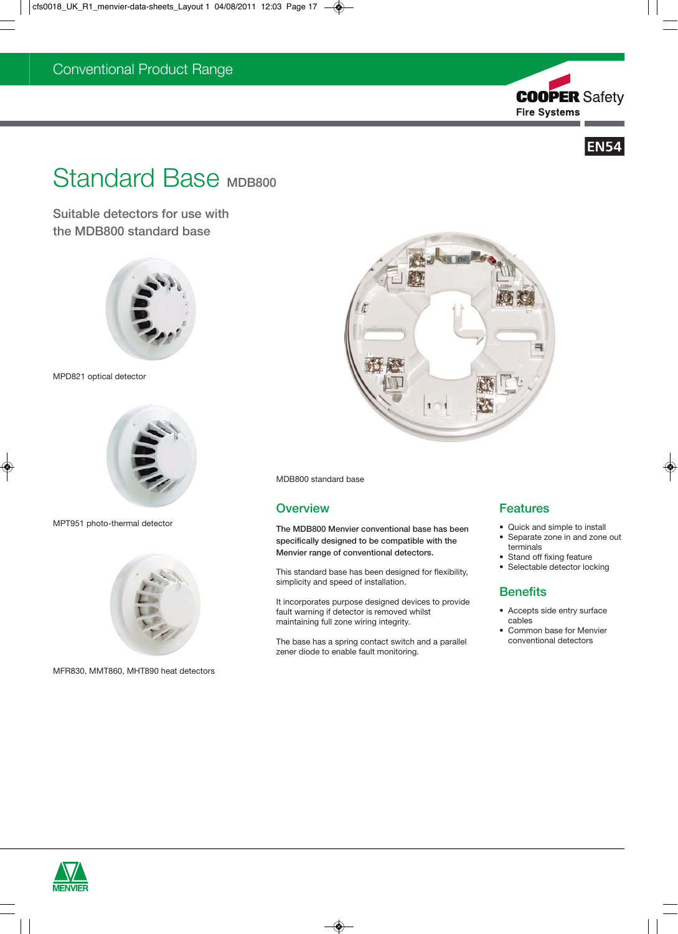



# Standard Base MDB800

Suitable detectors for use with the MDB800 standard base



MPD821 optical detector



MPT951 photo-thermal detector



MFR830, MMT860, MHT890 heat detectors



MDB800 standard base

### **Overview**

The MDB800 Menvier conventional base has been specifically designed to be compatible with the Menvier range of conventional detectors.

This standard base has been designed for flexibility, simplicity and speed of installation.

It incorporates purpose designed devices to provide fault warning if detector is removed whilst maintaining full zone wiring integrity.

The base has a spring contact switch and a parallel zener diode to enable fault monitoring.

# Features

- Quick and simple to install • Separate zone in and zone out
- terminals
- Stand off fixing feature
- Selectable detector locking

# **Benefits**

- Accepts side entry surface cables
- Common base for Menvier conventional detectors